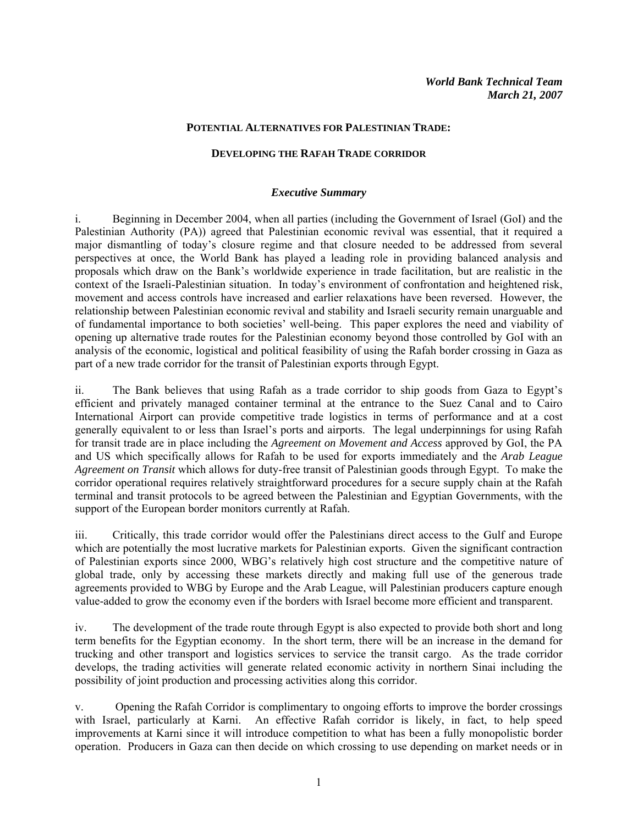#### **POTENTIAL ALTERNATIVES FOR PALESTINIAN TRADE:**

#### **DEVELOPING THE RAFAH TRADE CORRIDOR**

#### *Executive Summary*

i. Beginning in December 2004, when all parties (including the Government of Israel (GoI) and the Palestinian Authority (PA)) agreed that Palestinian economic revival was essential, that it required a major dismantling of today's closure regime and that closure needed to be addressed from several perspectives at once, the World Bank has played a leading role in providing balanced analysis and proposals which draw on the Bank's worldwide experience in trade facilitation, but are realistic in the context of the Israeli-Palestinian situation. In today's environment of confrontation and heightened risk, movement and access controls have increased and earlier relaxations have been reversed. However, the relationship between Palestinian economic revival and stability and Israeli security remain unarguable and of fundamental importance to both societies' well-being. This paper explores the need and viability of opening up alternative trade routes for the Palestinian economy beyond those controlled by GoI with an analysis of the economic, logistical and political feasibility of using the Rafah border crossing in Gaza as part of a new trade corridor for the transit of Palestinian exports through Egypt.

ii. The Bank believes that using Rafah as a trade corridor to ship goods from Gaza to Egypt's efficient and privately managed container terminal at the entrance to the Suez Canal and to Cairo International Airport can provide competitive trade logistics in terms of performance and at a cost generally equivalent to or less than Israel's ports and airports. The legal underpinnings for using Rafah for transit trade are in place including the *Agreement on Movement and Access* approved by GoI, the PA and US which specifically allows for Rafah to be used for exports immediately and the *Arab League Agreement on Transit* which allows for duty-free transit of Palestinian goods through Egypt. To make the corridor operational requires relatively straightforward procedures for a secure supply chain at the Rafah terminal and transit protocols to be agreed between the Palestinian and Egyptian Governments, with the support of the European border monitors currently at Rafah.

iii. Critically, this trade corridor would offer the Palestinians direct access to the Gulf and Europe which are potentially the most lucrative markets for Palestinian exports. Given the significant contraction of Palestinian exports since 2000, WBG's relatively high cost structure and the competitive nature of global trade, only by accessing these markets directly and making full use of the generous trade agreements provided to WBG by Europe and the Arab League, will Palestinian producers capture enough value-added to grow the economy even if the borders with Israel become more efficient and transparent.

iv. The development of the trade route through Egypt is also expected to provide both short and long term benefits for the Egyptian economy. In the short term, there will be an increase in the demand for trucking and other transport and logistics services to service the transit cargo. As the trade corridor develops, the trading activities will generate related economic activity in northern Sinai including the possibility of joint production and processing activities along this corridor.

v. Opening the Rafah Corridor is complimentary to ongoing efforts to improve the border crossings with Israel, particularly at Karni. An effective Rafah corridor is likely, in fact, to help speed improvements at Karni since it will introduce competition to what has been a fully monopolistic border operation. Producers in Gaza can then decide on which crossing to use depending on market needs or in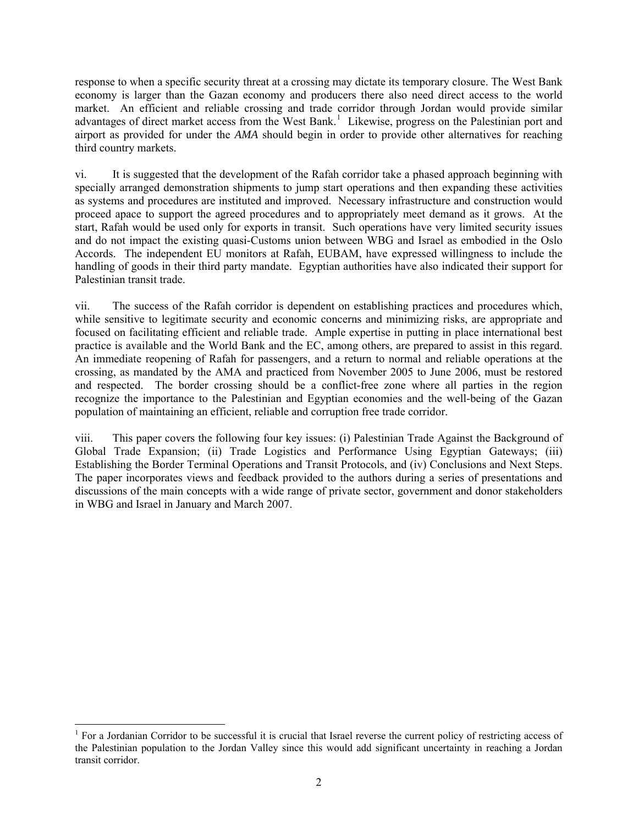response to when a specific security threat at a crossing may dictate its temporary closure. The West Bank economy is larger than the Gazan economy and producers there also need direct access to the world market. An efficient and reliable crossing and trade corridor through Jordan would provide similar advantages of direct market access from the West Bank.<sup>[1](#page-1-0)</sup> Likewise, progress on the Palestinian port and airport as provided for under the *AMA* should begin in order to provide other alternatives for reaching third country markets.

vi. It is suggested that the development of the Rafah corridor take a phased approach beginning with specially arranged demonstration shipments to jump start operations and then expanding these activities as systems and procedures are instituted and improved. Necessary infrastructure and construction would proceed apace to support the agreed procedures and to appropriately meet demand as it grows. At the start, Rafah would be used only for exports in transit. Such operations have very limited security issues and do not impact the existing quasi-Customs union between WBG and Israel as embodied in the Oslo Accords. The independent EU monitors at Rafah, EUBAM, have expressed willingness to include the handling of goods in their third party mandate. Egyptian authorities have also indicated their support for Palestinian transit trade.

vii. The success of the Rafah corridor is dependent on establishing practices and procedures which, while sensitive to legitimate security and economic concerns and minimizing risks, are appropriate and focused on facilitating efficient and reliable trade. Ample expertise in putting in place international best practice is available and the World Bank and the EC, among others, are prepared to assist in this regard. An immediate reopening of Rafah for passengers, and a return to normal and reliable operations at the crossing, as mandated by the AMA and practiced from November 2005 to June 2006, must be restored and respected. The border crossing should be a conflict-free zone where all parties in the region recognize the importance to the Palestinian and Egyptian economies and the well-being of the Gazan population of maintaining an efficient, reliable and corruption free trade corridor.

viii. This paper covers the following four key issues: (i) Palestinian Trade Against the Background of Global Trade Expansion; (ii) Trade Logistics and Performance Using Egyptian Gateways; (iii) Establishing the Border Terminal Operations and Transit Protocols, and (iv) Conclusions and Next Steps. The paper incorporates views and feedback provided to the authors during a series of presentations and discussions of the main concepts with a wide range of private sector, government and donor stakeholders in WBG and Israel in January and March 2007.

<span id="page-1-0"></span><sup>1</sup> <sup>1</sup> For a Jordanian Corridor to be successful it is crucial that Israel reverse the current policy of restricting access of the Palestinian population to the Jordan Valley since this would add significant uncertainty in reaching a Jordan transit corridor.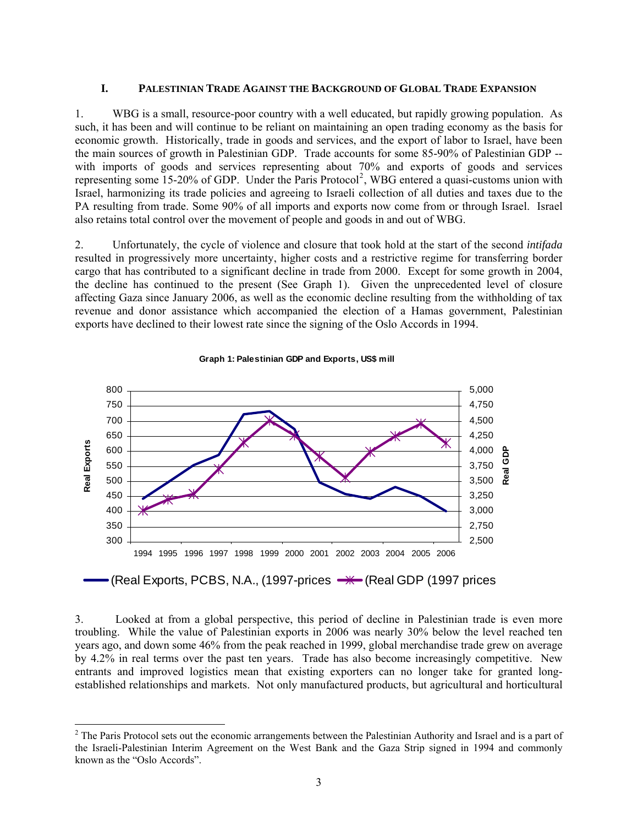#### **I. PALESTINIAN TRADE AGAINST THE BACKGROUND OF GLOBAL TRADE EXPANSION**

1. WBG is a small, resource-poor country with a well educated, but rapidly growing population. As such, it has been and will continue to be reliant on maintaining an open trading economy as the basis for economic growth. Historically, trade in goods and services, and the export of labor to Israel, have been the main sources of growth in Palestinian GDP. Trade accounts for some 85-90% of Palestinian GDP - with imports of goods and services representing about 70% and exports of goods and services representing some 15-[2](#page-2-0)0% of GDP. Under the Paris Protocol<sup>2</sup>, WBG entered a quasi-customs union with Israel, harmonizing its trade policies and agreeing to Israeli collection of all duties and taxes due to the PA resulting from trade. Some 90% of all imports and exports now come from or through Israel. Israel also retains total control over the movement of people and goods in and out of WBG.

2. Unfortunately, the cycle of violence and closure that took hold at the start of the second *intifada* resulted in progressively more uncertainty, higher costs and a restrictive regime for transferring border cargo that has contributed to a significant decline in trade from 2000. Except for some growth in 2004, the decline has continued to the present (See Graph 1). Given the unprecedented level of closure affecting Gaza since January 2006, as well as the economic decline resulting from the withholding of tax revenue and donor assistance which accompanied the election of a Hamas government, Palestinian exports have declined to their lowest rate since the signing of the Oslo Accords in 1994.



**Graph 1: Palestinian GDP and Exports, US\$ mill**

3. Looked at from a global perspective, this period of decline in Palestinian trade is even more troubling. While the value of Palestinian exports in 2006 was nearly 30% below the level reached ten years ago, and down some 46% from the peak reached in 1999, global merchandise trade grew on average by 4.2% in real terms over the past ten years. Trade has also become increasingly competitive. New entrants and improved logistics mean that existing exporters can no longer take for granted longestablished relationships and markets. Not only manufactured products, but agricultural and horticultural

<span id="page-2-0"></span><sup>&</sup>lt;sup>2</sup> The Paris Protocol sets out the economic arrangements between the Palestinian Authority and Israel and is a part of the Israeli-Palestinian Interim Agreement on the West Bank and the Gaza Strip signed in 1994 and commonly known as the "Oslo Accords".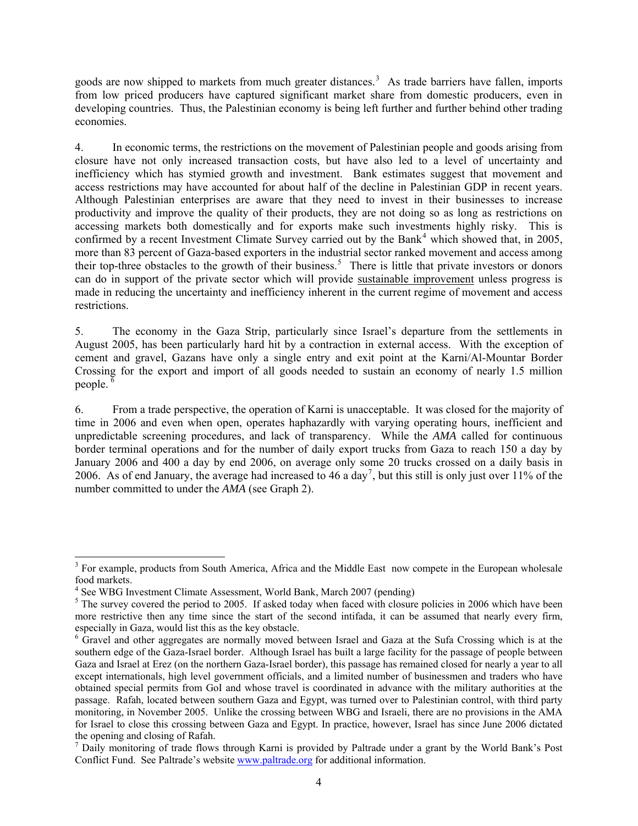goods are now shipped to markets from much greater distances.<sup>[3](#page-3-0)</sup> As trade barriers have fallen, imports from low priced producers have captured significant market share from domestic producers, even in developing countries. Thus, the Palestinian economy is being left further and further behind other trading economies.

4. In economic terms, the restrictions on the movement of Palestinian people and goods arising from closure have not only increased transaction costs, but have also led to a level of uncertainty and inefficiency which has stymied growth and investment. Bank estimates suggest that movement and access restrictions may have accounted for about half of the decline in Palestinian GDP in recent years. Although Palestinian enterprises are aware that they need to invest in their businesses to increase productivity and improve the quality of their products, they are not doing so as long as restrictions on accessing markets both domestically and for exports make such investments highly risky. This is confirmed by a recent Investment Climate Survey carried out by the Bank<sup>[4](#page-3-1)</sup> which showed that, in 2005, more than 83 percent of Gaza-based exporters in the industrial sector ranked movement and access among their top-three obstacles to the growth of their business.<sup>[5](#page-3-2)</sup> There is little that private investors or donors can do in support of the private sector which will provide sustainable improvement unless progress is made in reducing the uncertainty and inefficiency inherent in the current regime of movement and access restrictions.

5. The economy in the Gaza Strip, particularly since Israel's departure from the settlements in August 2005, has been particularly hard hit by a contraction in external access. With the exception of cement and gravel, Gazans have only a single entry and exit point at the Karni/Al-Mountar Border Crossing for the export and import of all goods needed to sustain an economy of nearly 1.5 million people.<sup>[6](#page-3-3)</sup>

6. From a trade perspective, the operation of Karni is unacceptable. It was closed for the majority of time in 2006 and even when open, operates haphazardly with varying operating hours, inefficient and unpredictable screening procedures, and lack of transparency. While the *AMA* called for continuous border terminal operations and for the number of daily export trucks from Gaza to reach 150 a day by January 2006 and 400 a day by end 2006, on average only some 20 trucks crossed on a daily basis in 2006. As of end January, the average had increased to 46 a day<sup>[7](#page-3-4)</sup>, but this still is only just over 11% of the number committed to under the *AMA* (see Graph 2).

<span id="page-3-0"></span><sup>&</sup>lt;sup>3</sup> For example, products from South America, Africa and the Middle East now compete in the European wholesale food markets.

<sup>&</sup>lt;sup>4</sup> See WBG Investment Climate Assessment, World Bank, March 2007 (pending)

<span id="page-3-2"></span><span id="page-3-1"></span> $5$  The survey covered the period to 2005. If asked today when faced with closure policies in 2006 which have been more restrictive then any time since the start of the second intifada, it can be assumed that nearly every firm, especially in Gaza, would list this as the key obstacle.

<span id="page-3-3"></span><sup>&</sup>lt;sup>6</sup> Gravel and other aggregates are normally moved between Israel and Gaza at the Sufa Crossing which is at the southern edge of the Gaza-Israel border. Although Israel has built a large facility for the passage of people between Gaza and Israel at Erez (on the northern Gaza-Israel border), this passage has remained closed for nearly a year to all except internationals, high level government officials, and a limited number of businessmen and traders who have obtained special permits from GoI and whose travel is coordinated in advance with the military authorities at the passage. Rafah, located between southern Gaza and Egypt, was turned over to Palestinian control, with third party monitoring, in November 2005. Unlike the crossing between WBG and Israeli, there are no provisions in the AMA for Israel to close this crossing between Gaza and Egypt. In practice, however, Israel has since June 2006 dictated the opening and closing of Rafah.

<span id="page-3-4"></span><sup>&</sup>lt;sup>7</sup> Daily monitoring of trade flows through Karni is provided by Paltrade under a grant by the World Bank's Post Conflict Fund. See Paltrade's website [www.paltrade.org](http://www.paltrade.org/) for additional information.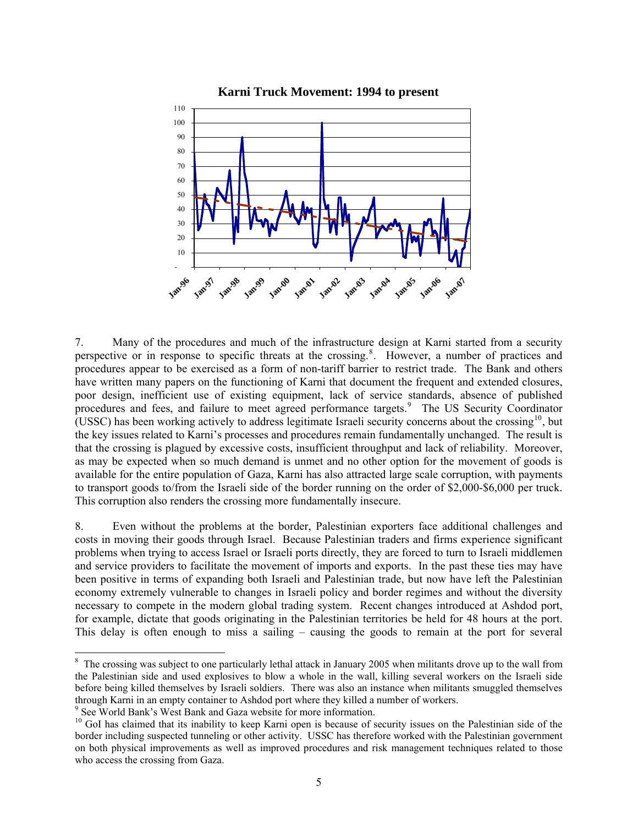

7. Many of the procedures and much of the infrastructure design at Karni started from a security perspective or in response to specific threats at the crossing.<sup>[8](#page-4-0)</sup>. However, a number of practices and procedures appear to be exercised as a form of non-tariff barrier to restrict trade. The Bank and others have written many papers on the functioning of Karni that document the frequent and extended closures, poor design, inefficient use of existing equipment, lack of service standards, absence of published procedures and fees, and failure to meet agreed performance targets.<sup>[9](#page-4-1)</sup> The US Security Coordinator (USSC) has been working actively to address legitimate Israeli security concerns about the crossing<sup>[10](#page-4-2)</sup>, but the key issues related to Karni's processes and procedures remain fundamentally unchanged. The result is that the crossing is plagued by excessive costs, insufficient throughput and lack of reliability. Moreover, as may be expected when so much demand is unmet and no other option for the movement of goods is available for the entire population of Gaza, Karni has also attracted large scale corruption, with payments to transport goods to/from the Israeli side of the border running on the order of \$2,000-\$6,000 per truck. This corruption also renders the crossing more fundamentally insecure.

8. Even without the problems at the border, Palestinian exporters face additional challenges and costs in moving their goods through Israel. Because Palestinian traders and firms experience significant problems when trying to access Israel or Israeli ports directly, they are forced to turn to Israeli middlemen and service providers to facilitate the movement of imports and exports. In the past these ties may have been positive in terms of expanding both Israeli and Palestinian trade, but now have left the Palestinian economy extremely vulnerable to changes in Israeli policy and border regimes and without the diversity necessary to compete in the modern global trading system. Recent changes introduced at Ashdod port, for example, dictate that goods originating in the Palestinian territories be held for 48 hours at the port. This delay is often enough to miss a sailing – causing the goods to remain at the port for several

1

<span id="page-4-0"></span><sup>&</sup>lt;sup>8</sup> The crossing was subject to one particularly lethal attack in January 2005 when militants drove up to the wall from the Palestinian side and used explosives to blow a whole in the wall, killing several workers on the Israeli side before being killed themselves by Israeli soldiers. There was also an instance when militants smuggled themselves through Karni in an empty container to Ashdod port where they killed a number of workers. 9

<span id="page-4-1"></span><sup>&</sup>lt;sup>9</sup> See World Bank's West Bank and Gaza website for more information.

<span id="page-4-2"></span><sup>&</sup>lt;sup>10</sup> GoI has claimed that its inability to keep Karni open is because of security issues on the Palestinian side of the border including suspected tunneling or other activity. USSC has therefore worked with the Palestinian government on both physical improvements as well as improved procedures and risk management techniques related to those who access the crossing from Gaza.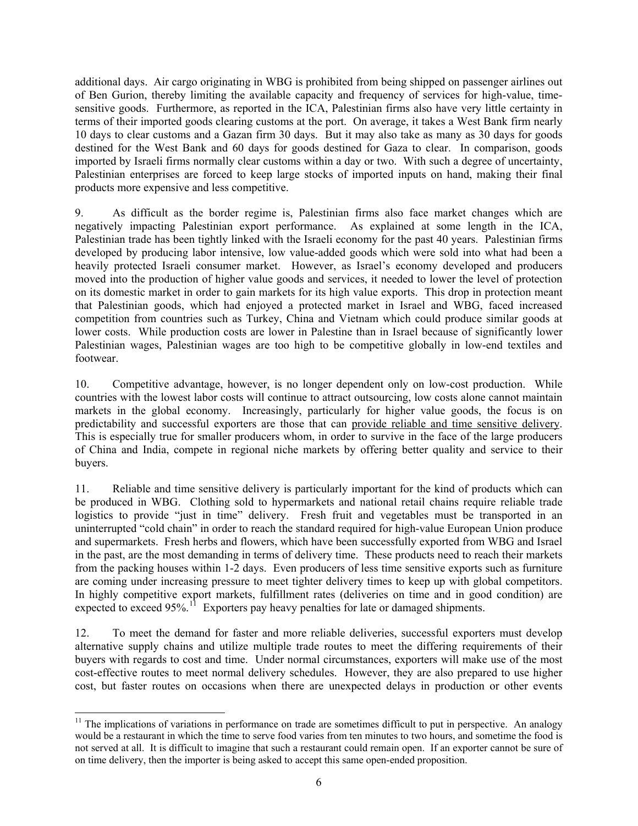additional days. Air cargo originating in WBG is prohibited from being shipped on passenger airlines out of Ben Gurion, thereby limiting the available capacity and frequency of services for high-value, timesensitive goods. Furthermore, as reported in the ICA, Palestinian firms also have very little certainty in terms of their imported goods clearing customs at the port. On average, it takes a West Bank firm nearly 10 days to clear customs and a Gazan firm 30 days. But it may also take as many as 30 days for goods destined for the West Bank and 60 days for goods destined for Gaza to clear. In comparison, goods imported by Israeli firms normally clear customs within a day or two. With such a degree of uncertainty, Palestinian enterprises are forced to keep large stocks of imported inputs on hand, making their final products more expensive and less competitive.

9. As difficult as the border regime is, Palestinian firms also face market changes which are negatively impacting Palestinian export performance. As explained at some length in the ICA, Palestinian trade has been tightly linked with the Israeli economy for the past 40 years. Palestinian firms developed by producing labor intensive, low value-added goods which were sold into what had been a heavily protected Israeli consumer market. However, as Israel's economy developed and producers moved into the production of higher value goods and services, it needed to lower the level of protection on its domestic market in order to gain markets for its high value exports. This drop in protection meant that Palestinian goods, which had enjoyed a protected market in Israel and WBG, faced increased competition from countries such as Turkey, China and Vietnam which could produce similar goods at lower costs. While production costs are lower in Palestine than in Israel because of significantly lower Palestinian wages, Palestinian wages are too high to be competitive globally in low-end textiles and footwear.

10. Competitive advantage, however, is no longer dependent only on low-cost production. While countries with the lowest labor costs will continue to attract outsourcing, low costs alone cannot maintain markets in the global economy. Increasingly, particularly for higher value goods, the focus is on predictability and successful exporters are those that can provide reliable and time sensitive delivery. This is especially true for smaller producers whom, in order to survive in the face of the large producers of China and India, compete in regional niche markets by offering better quality and service to their buyers.

11. Reliable and time sensitive delivery is particularly important for the kind of products which can be produced in WBG. Clothing sold to hypermarkets and national retail chains require reliable trade logistics to provide "just in time" delivery. Fresh fruit and vegetables must be transported in an uninterrupted "cold chain" in order to reach the standard required for high-value European Union produce and supermarkets. Fresh herbs and flowers, which have been successfully exported from WBG and Israel in the past, are the most demanding in terms of delivery time. These products need to reach their markets from the packing houses within 1-2 days. Even producers of less time sensitive exports such as furniture are coming under increasing pressure to meet tighter delivery times to keep up with global competitors. In highly competitive export markets, fulfillment rates (deliveries on time and in good condition) are expected to exceed  $95\%$ .<sup>[11](#page-5-0)</sup> Exporters pay heavy penalties for late or damaged shipments.

12. To meet the demand for faster and more reliable deliveries, successful exporters must develop alternative supply chains and utilize multiple trade routes to meet the differing requirements of their buyers with regards to cost and time. Under normal circumstances, exporters will make use of the most cost-effective routes to meet normal delivery schedules. However, they are also prepared to use higher cost, but faster routes on occasions when there are unexpected delays in production or other events

1

<span id="page-5-0"></span> $11$  The implications of variations in performance on trade are sometimes difficult to put in perspective. An analogy would be a restaurant in which the time to serve food varies from ten minutes to two hours, and sometime the food is not served at all. It is difficult to imagine that such a restaurant could remain open. If an exporter cannot be sure of on time delivery, then the importer is being asked to accept this same open-ended proposition.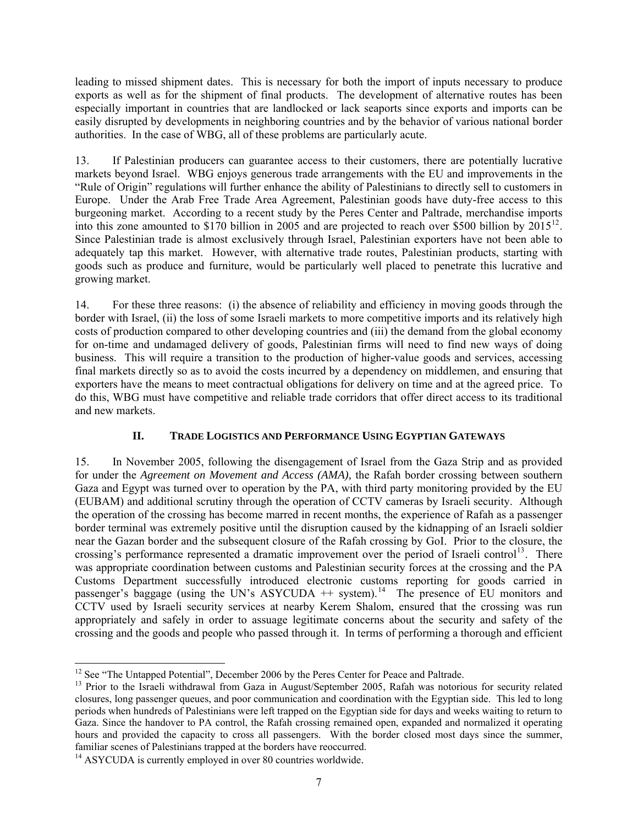leading to missed shipment dates. This is necessary for both the import of inputs necessary to produce exports as well as for the shipment of final products. The development of alternative routes has been especially important in countries that are landlocked or lack seaports since exports and imports can be easily disrupted by developments in neighboring countries and by the behavior of various national border authorities. In the case of WBG, all of these problems are particularly acute.

13. If Palestinian producers can guarantee access to their customers, there are potentially lucrative markets beyond Israel. WBG enjoys generous trade arrangements with the EU and improvements in the "Rule of Origin" regulations will further enhance the ability of Palestinians to directly sell to customers in Europe. Under the Arab Free Trade Area Agreement, Palestinian goods have duty-free access to this burgeoning market. According to a recent study by the Peres Center and Paltrade, merchandise imports into this zone amounted to \$170 billion in 2005 and are projected to reach over \$500 billion by  $2015^{12}$  $2015^{12}$  $2015^{12}$ . Since Palestinian trade is almost exclusively through Israel, Palestinian exporters have not been able to adequately tap this market. However, with alternative trade routes, Palestinian products, starting with goods such as produce and furniture, would be particularly well placed to penetrate this lucrative and growing market.

14. For these three reasons: (i) the absence of reliability and efficiency in moving goods through the border with Israel, (ii) the loss of some Israeli markets to more competitive imports and its relatively high costs of production compared to other developing countries and (iii) the demand from the global economy for on-time and undamaged delivery of goods, Palestinian firms will need to find new ways of doing business. This will require a transition to the production of higher-value goods and services, accessing final markets directly so as to avoid the costs incurred by a dependency on middlemen, and ensuring that exporters have the means to meet contractual obligations for delivery on time and at the agreed price. To do this, WBG must have competitive and reliable trade corridors that offer direct access to its traditional and new markets.

## **II. TRADE LOGISTICS AND PERFORMANCE USING EGYPTIAN GATEWAYS**

15. In November 2005, following the disengagement of Israel from the Gaza Strip and as provided for under the *Agreement on Movement and Access (AMA),* the Rafah border crossing between southern Gaza and Egypt was turned over to operation by the PA, with third party monitoring provided by the EU (EUBAM) and additional scrutiny through the operation of CCTV cameras by Israeli security. Although the operation of the crossing has become marred in recent months, the experience of Rafah as a passenger border terminal was extremely positive until the disruption caused by the kidnapping of an Israeli soldier near the Gazan border and the subsequent closure of the Rafah crossing by GoI. Prior to the closure, the crossing's performance represented a dramatic improvement over the period of Israeli control<sup>[13](#page-6-1)</sup>. There was appropriate coordination between customs and Palestinian security forces at the crossing and the PA Customs Department successfully introduced electronic customs reporting for goods carried in passenger's baggage (using the UN's ASYCUDA  $+$  system).<sup>[14](#page-6-2)</sup> The presence of EU monitors and CCTV used by Israeli security services at nearby Kerem Shalom, ensured that the crossing was run appropriately and safely in order to assuage legitimate concerns about the security and safety of the crossing and the goods and people who passed through it. In terms of performing a thorough and efficient

<span id="page-6-0"></span><sup>&</sup>lt;sup>12</sup> See "The Untapped Potential", December 2006 by the Peres Center for Peace and Paltrade.

<span id="page-6-1"></span> $13$  Prior to the Israeli withdrawal from Gaza in August/September 2005, Rafah was notorious for security related closures, long passenger queues, and poor communication and coordination with the Egyptian side. This led to long periods when hundreds of Palestinians were left trapped on the Egyptian side for days and weeks waiting to return to Gaza. Since the handover to PA control, the Rafah crossing remained open, expanded and normalized it operating hours and provided the capacity to cross all passengers. With the border closed most days since the summer, familiar scenes of Palestinians trapped at the borders have reoccurred.

<span id="page-6-2"></span> $14$  ASYCUDA is currently employed in over 80 countries worldwide.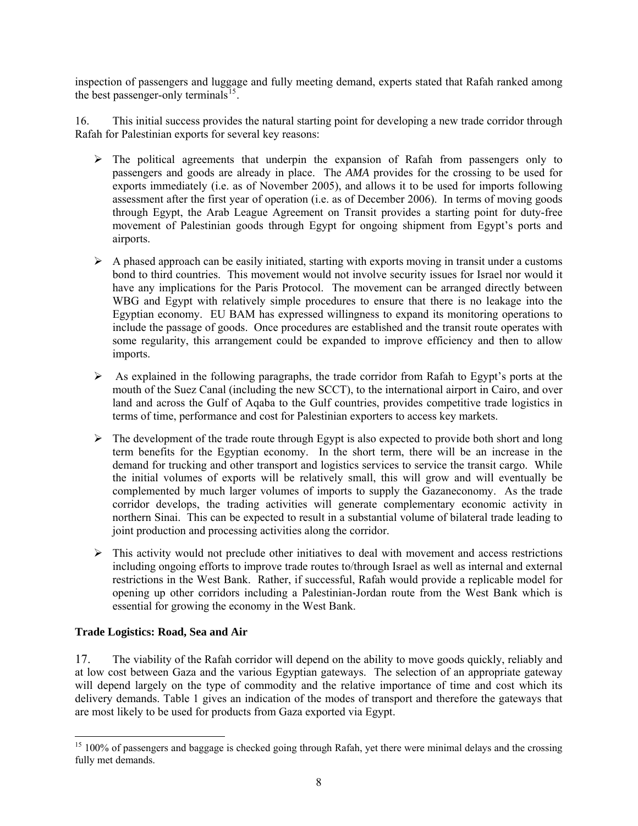inspection of passengers and luggage and fully meeting demand, experts stated that Rafah ranked among the best passenger-only terminals<sup>[15](#page-7-0)</sup>.

16. This initial success provides the natural starting point for developing a new trade corridor through Rafah for Palestinian exports for several key reasons:

- $\triangleright$  The political agreements that underpin the expansion of Rafah from passengers only to passengers and goods are already in place. The *AMA* provides for the crossing to be used for exports immediately (i.e. as of November 2005), and allows it to be used for imports following assessment after the first year of operation (i.e. as of December 2006). In terms of moving goods through Egypt, the Arab League Agreement on Transit provides a starting point for duty-free movement of Palestinian goods through Egypt for ongoing shipment from Egypt's ports and airports.
- $\triangleright$  A phased approach can be easily initiated, starting with exports moving in transit under a customs bond to third countries. This movement would not involve security issues for Israel nor would it have any implications for the Paris Protocol. The movement can be arranged directly between WBG and Egypt with relatively simple procedures to ensure that there is no leakage into the Egyptian economy. EU BAM has expressed willingness to expand its monitoring operations to include the passage of goods. Once procedures are established and the transit route operates with some regularity, this arrangement could be expanded to improve efficiency and then to allow imports.
- $\triangleright$  As explained in the following paragraphs, the trade corridor from Rafah to Egypt's ports at the mouth of the Suez Canal (including the new SCCT), to the international airport in Cairo, and over land and across the Gulf of Aqaba to the Gulf countries, provides competitive trade logistics in terms of time, performance and cost for Palestinian exporters to access key markets.
- $\triangleright$  The development of the trade route through Egypt is also expected to provide both short and long term benefits for the Egyptian economy. In the short term, there will be an increase in the demand for trucking and other transport and logistics services to service the transit cargo. While the initial volumes of exports will be relatively small, this will grow and will eventually be complemented by much larger volumes of imports to supply the Gazaneconomy. As the trade corridor develops, the trading activities will generate complementary economic activity in northern Sinai. This can be expected to result in a substantial volume of bilateral trade leading to joint production and processing activities along the corridor.
- $\triangleright$  This activity would not preclude other initiatives to deal with movement and access restrictions including ongoing efforts to improve trade routes to/through Israel as well as internal and external restrictions in the West Bank. Rather, if successful, Rafah would provide a replicable model for opening up other corridors including a Palestinian-Jordan route from the West Bank which is essential for growing the economy in the West Bank.

#### **Trade Logistics: Road, Sea and Air**

 $\overline{\phantom{a}}$ 

17. The viability of the Rafah corridor will depend on the ability to move goods quickly, reliably and at low cost between Gaza and the various Egyptian gateways. The selection of an appropriate gateway will depend largely on the type of commodity and the relative importance of time and cost which its delivery demands. Table 1 gives an indication of the modes of transport and therefore the gateways that are most likely to be used for products from Gaza exported via Egypt.

<span id="page-7-0"></span> $15$  100% of passengers and baggage is checked going through Rafah, yet there were minimal delays and the crossing fully met demands.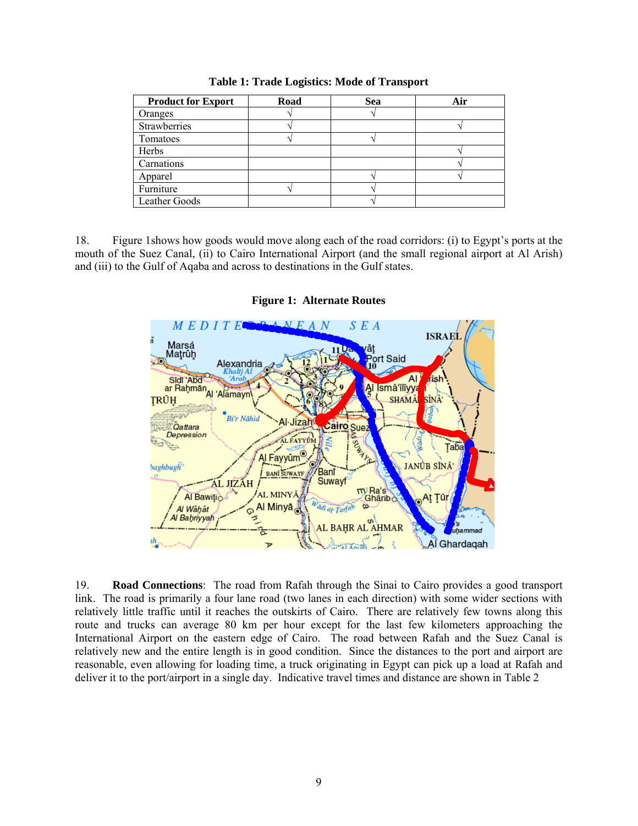| <b>Product for Export</b> | Road | Sea | Air |
|---------------------------|------|-----|-----|
| Oranges                   |      |     |     |
| Strawberries              |      |     |     |
| Tomatoes                  |      |     |     |
| Herbs                     |      |     |     |
| Carnations                |      |     |     |
| Apparel                   |      |     |     |
| Furniture                 |      |     |     |
| Leather Goods             |      |     |     |

**Table 1: Trade Logistics: Mode of Transport** 

18. Figure 1shows how goods would move along each of the road corridors: (i) to Egypt's ports at the mouth of the Suez Canal, (ii) to Cairo International Airport (and the small regional airport at Al Arish) and (iii) to the Gulf of Aqaba and across to destinations in the Gulf states.



**Figure 1: Alternate Routes** 

19. **Road Connections**: The road from Rafah through the Sinai to Cairo provides a good transport link. The road is primarily a four lane road (two lanes in each direction) with some wider sections with relatively little traffic until it reaches the outskirts of Cairo. There are relatively few towns along this route and trucks can average 80 km per hour except for the last few kilometers approaching the International Airport on the eastern edge of Cairo. The road between Rafah and the Suez Canal is relatively new and the entire length is in good condition. Since the distances to the port and airport are reasonable, even allowing for loading time, a truck originating in Egypt can pick up a load at Rafah and deliver it to the port/airport in a single day. Indicative travel times and distance are shown in Table 2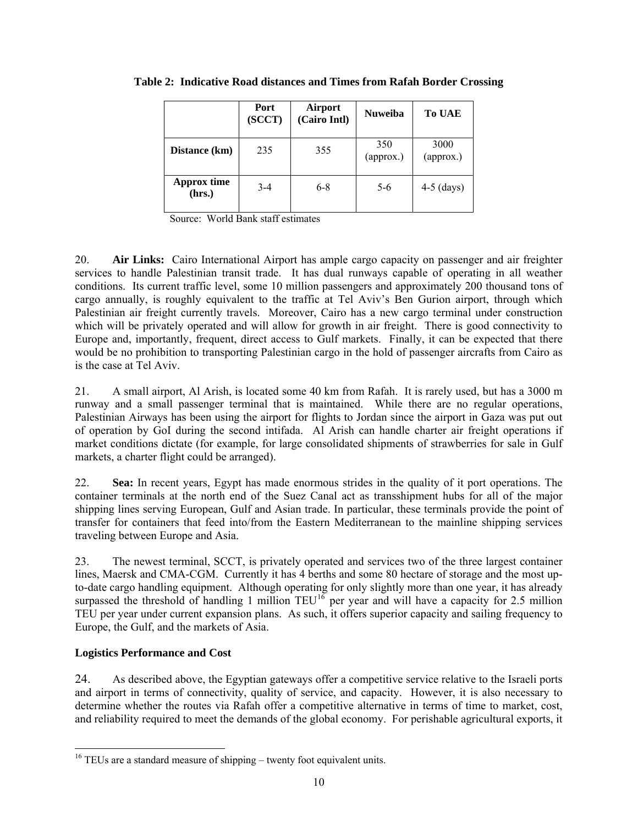|                              | <b>Port</b><br>(SCCT) | <b>Airport</b><br>(Cairo Intl) | <b>Nuweiba</b>                    | <b>To UAE</b>     |
|------------------------------|-----------------------|--------------------------------|-----------------------------------|-------------------|
| Distance (km)                | 235                   | 355                            | 350<br>$\left($ approx. $\right)$ | 3000<br>(approx.) |
| <b>Approx time</b><br>(hrs.) | $3 - 4$               | $6 - 8$                        | $5-6$                             | $4-5$ (days)      |

**Table 2: Indicative Road distances and Times from Rafah Border Crossing** 

Source: World Bank staff estimates

20. **Air Links:** Cairo International Airport has ample cargo capacity on passenger and air freighter services to handle Palestinian transit trade. It has dual runways capable of operating in all weather conditions. Its current traffic level, some 10 million passengers and approximately 200 thousand tons of cargo annually, is roughly equivalent to the traffic at Tel Aviv's Ben Gurion airport, through which Palestinian air freight currently travels. Moreover, Cairo has a new cargo terminal under construction which will be privately operated and will allow for growth in air freight. There is good connectivity to Europe and, importantly, frequent, direct access to Gulf markets. Finally, it can be expected that there would be no prohibition to transporting Palestinian cargo in the hold of passenger aircrafts from Cairo as is the case at Tel Aviv.

21. A small airport, Al Arish, is located some 40 km from Rafah. It is rarely used, but has a 3000 m runway and a small passenger terminal that is maintained. While there are no regular operations, Palestinian Airways has been using the airport for flights to Jordan since the airport in Gaza was put out of operation by GoI during the second intifada. Al Arish can handle charter air freight operations if market conditions dictate (for example, for large consolidated shipments of strawberries for sale in Gulf markets, a charter flight could be arranged).

22. **Sea:** In recent years, Egypt has made enormous strides in the quality of it port operations. The container terminals at the north end of the Suez Canal act as transshipment hubs for all of the major shipping lines serving European, Gulf and Asian trade. In particular, these terminals provide the point of transfer for containers that feed into/from the Eastern Mediterranean to the mainline shipping services traveling between Europe and Asia.

23. The newest terminal, SCCT, is privately operated and services two of the three largest container lines, Maersk and CMA-CGM. Currently it has 4 berths and some 80 hectare of storage and the most upto-date cargo handling equipment. Although operating for only slightly more than one year, it has already surpassed the threshold of handling 1 million  $TEU^{16}$  $TEU^{16}$  $TEU^{16}$  per year and will have a capacity for 2.5 million TEU per year under current expansion plans. As such, it offers superior capacity and sailing frequency to Europe, the Gulf, and the markets of Asia.

## **Logistics Performance and Cost**

1

24. As described above, the Egyptian gateways offer a competitive service relative to the Israeli ports and airport in terms of connectivity, quality of service, and capacity. However, it is also necessary to determine whether the routes via Rafah offer a competitive alternative in terms of time to market, cost, and reliability required to meet the demands of the global economy. For perishable agricultural exports, it

<span id="page-9-0"></span> $16$  TEUs are a standard measure of shipping – twenty foot equivalent units.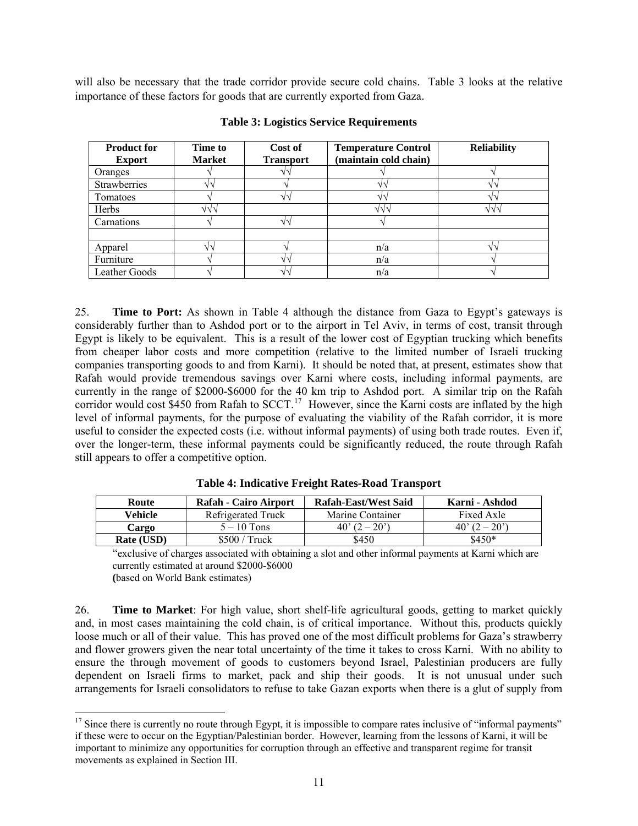will also be necessary that the trade corridor provide secure cold chains. Table 3 looks at the relative importance of these factors for goods that are currently exported from Gaza.

| <b>Product for</b><br><b>Export</b> | <b>Time to</b><br><b>Market</b> | Cost of<br><b>Transport</b> | <b>Temperature Control</b><br>(maintain cold chain) | <b>Reliability</b> |
|-------------------------------------|---------------------------------|-----------------------------|-----------------------------------------------------|--------------------|
| Oranges                             |                                 | V٦                          |                                                     |                    |
| <b>Strawberries</b>                 |                                 |                             |                                                     |                    |
| Tomatoes                            |                                 | V٦                          |                                                     |                    |
| Herbs                               | งงา                             |                             | VV1                                                 | VV1                |
| Carnations                          |                                 | 111                         |                                                     |                    |
|                                     |                                 |                             |                                                     |                    |
| Apparel                             |                                 |                             | n/a                                                 |                    |
| Furniture                           |                                 | ملح                         | n/a                                                 |                    |
| Leather Goods                       |                                 | $\sqrt{2}$                  | n/a                                                 |                    |

**Table 3: Logistics Service Requirements** 

25. **Time to Port:** As shown in Table 4 although the distance from Gaza to Egypt's gateways is considerably further than to Ashdod port or to the airport in Tel Aviv, in terms of cost, transit through Egypt is likely to be equivalent. This is a result of the lower cost of Egyptian trucking which benefits from cheaper labor costs and more competition (relative to the limited number of Israeli trucking companies transporting goods to and from Karni). It should be noted that, at present, estimates show that Rafah would provide tremendous savings over Karni where costs, including informal payments, are currently in the range of \$2000-\$6000 for the 40 km trip to Ashdod port. A similar trip on the Rafah corridor would cost \$450 from Rafah to SCCT.<sup>[17](#page-10-0)</sup> However, since the Karni costs are inflated by the high level of informal payments, for the purpose of evaluating the viability of the Rafah corridor, it is more useful to consider the expected costs (i.e. without informal payments) of using both trade routes. Even if, over the longer-term, these informal payments could be significantly reduced, the route through Rafah still appears to offer a competitive option.

| Route      | <b>Rafah - Cairo Airport</b> | <b>Rafah-East/West Said</b>   | Karni - Ashdod                |
|------------|------------------------------|-------------------------------|-------------------------------|
| Vehicle    | Refrigerated Truck           | Marine Container              | Fixed Axle                    |
| Cargo      | $5-10$ Tons                  | $40^{\circ} (2 - 20^{\circ})$ | $40^{\circ} (2 - 20^{\circ})$ |
| Rate (USD) | $$500 /$ Truck               | \$450                         | $$450*$                       |

**Table 4: Indicative Freight Rates-Road Transport** 

"exclusive of charges associated with obtaining a slot and other informal payments at Karni which are currently estimated at around \$2000-\$6000

**(**based on World Bank estimates)

1

26. **Time to Market**: For high value, short shelf-life agricultural goods, getting to market quickly and, in most cases maintaining the cold chain, is of critical importance. Without this, products quickly loose much or all of their value. This has proved one of the most difficult problems for Gaza's strawberry and flower growers given the near total uncertainty of the time it takes to cross Karni. With no ability to ensure the through movement of goods to customers beyond Israel, Palestinian producers are fully dependent on Israeli firms to market, pack and ship their goods. It is not unusual under such arrangements for Israeli consolidators to refuse to take Gazan exports when there is a glut of supply from

<span id="page-10-0"></span> $17$  Since there is currently no route through Egypt, it is impossible to compare rates inclusive of "informal payments" if these were to occur on the Egyptian/Palestinian border. However, learning from the lessons of Karni, it will be important to minimize any opportunities for corruption through an effective and transparent regime for transit movements as explained in Section III.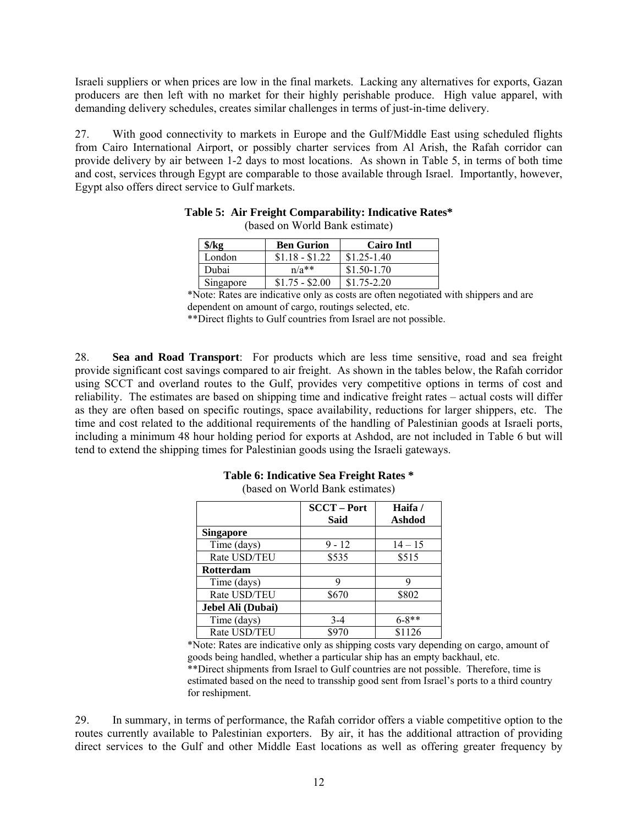Israeli suppliers or when prices are low in the final markets. Lacking any alternatives for exports, Gazan producers are then left with no market for their highly perishable produce. High value apparel, with demanding delivery schedules, creates similar challenges in terms of just-in-time delivery.

27. With good connectivity to markets in Europe and the Gulf/Middle East using scheduled flights from Cairo International Airport, or possibly charter services from Al Arish, the Rafah corridor can provide delivery by air between 1-2 days to most locations. As shown in Table 5, in terms of both time and cost, services through Egypt are comparable to those available through Israel. Importantly, however, Egypt also offers direct service to Gulf markets.

| \$/kg     | <b>Ben Gurion</b> | <b>Cairo Intl</b> |
|-----------|-------------------|-------------------|
| London    | $$1.18 - $1.22$   | $$1.25-1.40$      |
| Dubai     | $n/a**$           | $$1.50-1.70$      |
| Singapore | $$1.75 - $2.00$   | $$1.75-2.20$      |

| Table 5: Air Freight Comparability: Indicative Rates* |
|-------------------------------------------------------|
| (based on World Bank estimate)                        |

\*Note: Rates are indicative only as costs are often negotiated with shippers and are dependent on amount of cargo, routings selected, etc.

\*\*Direct flights to Gulf countries from Israel are not possible.

28. **Sea and Road Transport**: For products which are less time sensitive, road and sea freight provide significant cost savings compared to air freight. As shown in the tables below, the Rafah corridor using SCCT and overland routes to the Gulf, provides very competitive options in terms of cost and reliability. The estimates are based on shipping time and indicative freight rates – actual costs will differ as they are often based on specific routings, space availability, reductions for larger shippers, etc. The time and cost related to the additional requirements of the handling of Palestinian goods at Israeli ports, including a minimum 48 hour holding period for exports at Ashdod, are not included in Table 6 but will tend to extend the shipping times for Palestinian goods using the Israeli gateways.

|                   | <b>SCCT-Port</b> | Haifa/     |
|-------------------|------------------|------------|
|                   | <b>Said</b>      | Ashdod     |
| <b>Singapore</b>  |                  |            |
| Time (days)       | $9 - 12$         | $14 - 15$  |
| Rate USD/TEU      | \$535            | \$515      |
| <b>Rotterdam</b>  |                  |            |
| Time (days)       |                  |            |
| Rate USD/TEU      | \$670            | \$802      |
| Jebel Ali (Dubai) |                  |            |
| Time (days)       | $3-4$            | $6 - 8$ ** |
| Rate USD/TEU      | \$970            | \$1126     |

**Table 6: Indicative Sea Freight Rates \***  (based on World Bank estimates)

\*Note: Rates are indicative only as shipping costs vary depending on cargo, amount of goods being handled, whether a particular ship has an empty backhaul, etc. \*\*Direct shipments from Israel to Gulf countries are not possible. Therefore, time is estimated based on the need to transship good sent from Israel's ports to a third country for reshipment.

29. In summary, in terms of performance, the Rafah corridor offers a viable competitive option to the routes currently available to Palestinian exporters. By air, it has the additional attraction of providing direct services to the Gulf and other Middle East locations as well as offering greater frequency by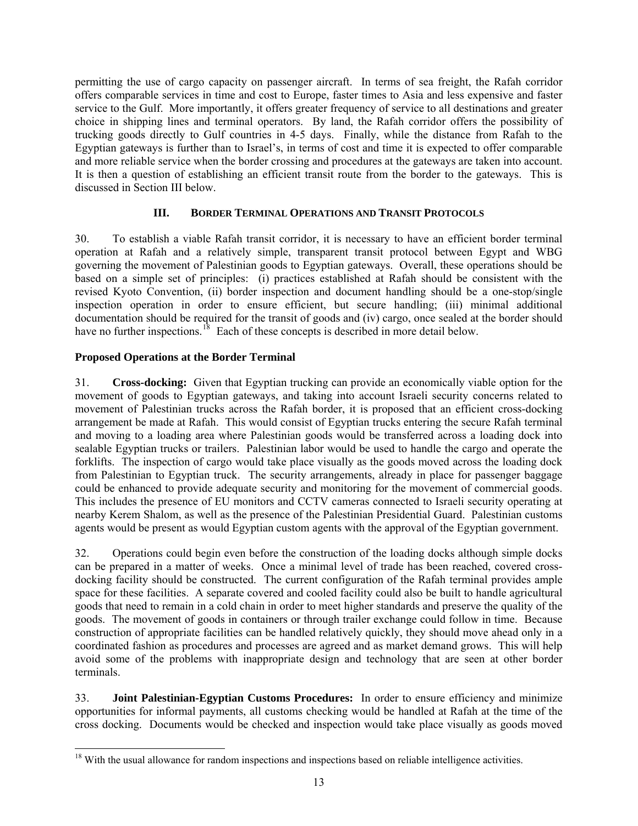permitting the use of cargo capacity on passenger aircraft. In terms of sea freight, the Rafah corridor offers comparable services in time and cost to Europe, faster times to Asia and less expensive and faster service to the Gulf. More importantly, it offers greater frequency of service to all destinations and greater choice in shipping lines and terminal operators. By land, the Rafah corridor offers the possibility of trucking goods directly to Gulf countries in 4-5 days. Finally, while the distance from Rafah to the Egyptian gateways is further than to Israel's, in terms of cost and time it is expected to offer comparable and more reliable service when the border crossing and procedures at the gateways are taken into account. It is then a question of establishing an efficient transit route from the border to the gateways. This is discussed in Section III below.

## **III. BORDER TERMINAL OPERATIONS AND TRANSIT PROTOCOLS**

30. To establish a viable Rafah transit corridor, it is necessary to have an efficient border terminal operation at Rafah and a relatively simple, transparent transit protocol between Egypt and WBG governing the movement of Palestinian goods to Egyptian gateways. Overall, these operations should be based on a simple set of principles: (i) practices established at Rafah should be consistent with the revised Kyoto Convention, (ii) border inspection and document handling should be a one-stop/single inspection operation in order to ensure efficient, but secure handling; (iii) minimal additional documentation should be required for the transit of goods and (iv) cargo, once sealed at the border should have no further inspections.<sup>[18](#page-12-0)</sup> Each of these concepts is described in more detail below.

## **Proposed Operations at the Border Terminal**

31. **Cross-docking:** Given that Egyptian trucking can provide an economically viable option for the movement of goods to Egyptian gateways, and taking into account Israeli security concerns related to movement of Palestinian trucks across the Rafah border, it is proposed that an efficient cross-docking arrangement be made at Rafah. This would consist of Egyptian trucks entering the secure Rafah terminal and moving to a loading area where Palestinian goods would be transferred across a loading dock into sealable Egyptian trucks or trailers. Palestinian labor would be used to handle the cargo and operate the forklifts. The inspection of cargo would take place visually as the goods moved across the loading dock from Palestinian to Egyptian truck. The security arrangements, already in place for passenger baggage could be enhanced to provide adequate security and monitoring for the movement of commercial goods. This includes the presence of EU monitors and CCTV cameras connected to Israeli security operating at nearby Kerem Shalom, as well as the presence of the Palestinian Presidential Guard. Palestinian customs agents would be present as would Egyptian custom agents with the approval of the Egyptian government.

32. Operations could begin even before the construction of the loading docks although simple docks can be prepared in a matter of weeks. Once a minimal level of trade has been reached, covered crossdocking facility should be constructed. The current configuration of the Rafah terminal provides ample space for these facilities. A separate covered and cooled facility could also be built to handle agricultural goods that need to remain in a cold chain in order to meet higher standards and preserve the quality of the goods. The movement of goods in containers or through trailer exchange could follow in time. Because construction of appropriate facilities can be handled relatively quickly, they should move ahead only in a coordinated fashion as procedures and processes are agreed and as market demand grows. This will help avoid some of the problems with inappropriate design and technology that are seen at other border terminals.

33. **Joint Palestinian-Egyptian Customs Procedures:** In order to ensure efficiency and minimize opportunities for informal payments, all customs checking would be handled at Rafah at the time of the cross docking. Documents would be checked and inspection would take place visually as goods moved

<span id="page-12-0"></span><sup>1</sup> <sup>18</sup> With the usual allowance for random inspections and inspections based on reliable intelligence activities.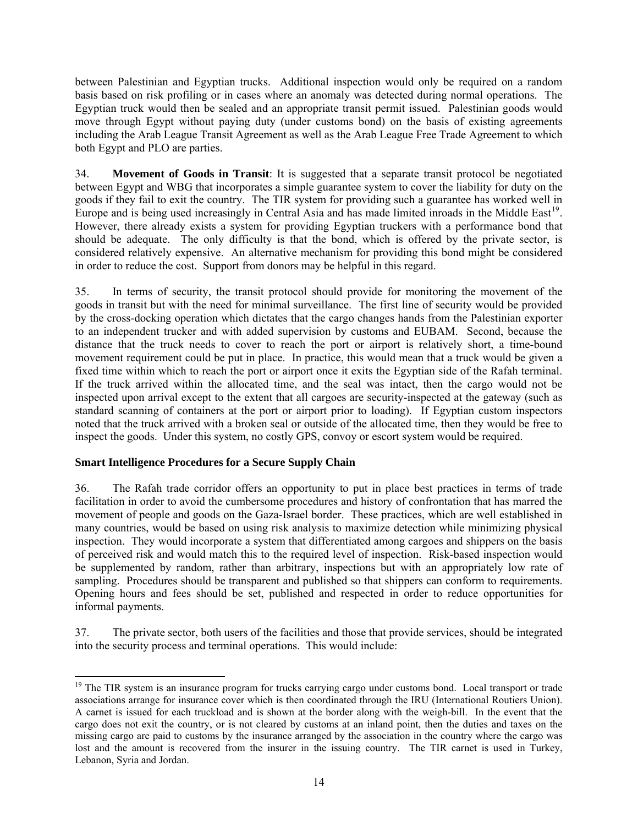between Palestinian and Egyptian trucks. Additional inspection would only be required on a random basis based on risk profiling or in cases where an anomaly was detected during normal operations. The Egyptian truck would then be sealed and an appropriate transit permit issued. Palestinian goods would move through Egypt without paying duty (under customs bond) on the basis of existing agreements including the Arab League Transit Agreement as well as the Arab League Free Trade Agreement to which both Egypt and PLO are parties.

34. **Movement of Goods in Transit**: It is suggested that a separate transit protocol be negotiated between Egypt and WBG that incorporates a simple guarantee system to cover the liability for duty on the goods if they fail to exit the country. The TIR system for providing such a guarantee has worked well in Europe and is being used increasingly in Central Asia and has made limited inroads in the Middle East<sup>[19](#page-13-0)</sup>. However, there already exists a system for providing Egyptian truckers with a performance bond that should be adequate. The only difficulty is that the bond, which is offered by the private sector, is considered relatively expensive. An alternative mechanism for providing this bond might be considered in order to reduce the cost. Support from donors may be helpful in this regard.

35. In terms of security, the transit protocol should provide for monitoring the movement of the goods in transit but with the need for minimal surveillance. The first line of security would be provided by the cross-docking operation which dictates that the cargo changes hands from the Palestinian exporter to an independent trucker and with added supervision by customs and EUBAM. Second, because the distance that the truck needs to cover to reach the port or airport is relatively short, a time-bound movement requirement could be put in place. In practice, this would mean that a truck would be given a fixed time within which to reach the port or airport once it exits the Egyptian side of the Rafah terminal. If the truck arrived within the allocated time, and the seal was intact, then the cargo would not be inspected upon arrival except to the extent that all cargoes are security-inspected at the gateway (such as standard scanning of containers at the port or airport prior to loading). If Egyptian custom inspectors noted that the truck arrived with a broken seal or outside of the allocated time, then they would be free to inspect the goods. Under this system, no costly GPS, convoy or escort system would be required.

## **Smart Intelligence Procedures for a Secure Supply Chain**

36. The Rafah trade corridor offers an opportunity to put in place best practices in terms of trade facilitation in order to avoid the cumbersome procedures and history of confrontation that has marred the movement of people and goods on the Gaza-Israel border. These practices, which are well established in many countries, would be based on using risk analysis to maximize detection while minimizing physical inspection. They would incorporate a system that differentiated among cargoes and shippers on the basis of perceived risk and would match this to the required level of inspection. Risk-based inspection would be supplemented by random, rather than arbitrary, inspections but with an appropriately low rate of sampling. Procedures should be transparent and published so that shippers can conform to requirements. Opening hours and fees should be set, published and respected in order to reduce opportunities for informal payments.

37. The private sector, both users of the facilities and those that provide services, should be integrated into the security process and terminal operations. This would include:

<span id="page-13-0"></span>l <sup>19</sup> The TIR system is an insurance program for trucks carrying cargo under customs bond. Local transport or trade associations arrange for insurance cover which is then coordinated through the IRU (International Routiers Union). A carnet is issued for each truckload and is shown at the border along with the weigh-bill. In the event that the cargo does not exit the country, or is not cleared by customs at an inland point, then the duties and taxes on the missing cargo are paid to customs by the insurance arranged by the association in the country where the cargo was lost and the amount is recovered from the insurer in the issuing country. The TIR carnet is used in Turkey, Lebanon, Syria and Jordan.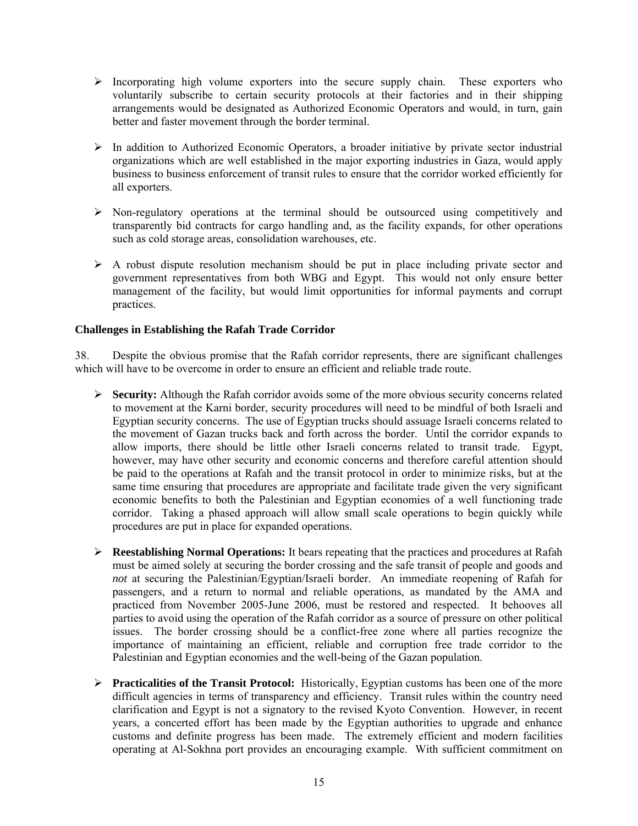- $\triangleright$  Incorporating high volume exporters into the secure supply chain. These exporters who voluntarily subscribe to certain security protocols at their factories and in their shipping arrangements would be designated as Authorized Economic Operators and would, in turn, gain better and faster movement through the border terminal.
- $\triangleright$  In addition to Authorized Economic Operators, a broader initiative by private sector industrial organizations which are well established in the major exporting industries in Gaza, would apply business to business enforcement of transit rules to ensure that the corridor worked efficiently for all exporters.
- $\triangleright$  Non-regulatory operations at the terminal should be outsourced using competitively and transparently bid contracts for cargo handling and, as the facility expands, for other operations such as cold storage areas, consolidation warehouses, etc.
- $\triangleright$  A robust dispute resolution mechanism should be put in place including private sector and government representatives from both WBG and Egypt. This would not only ensure better management of the facility, but would limit opportunities for informal payments and corrupt practices.

## **Challenges in Establishing the Rafah Trade Corridor**

38. Despite the obvious promise that the Rafah corridor represents, there are significant challenges which will have to be overcome in order to ensure an efficient and reliable trade route.

- ¾ **Security:** Although the Rafah corridor avoids some of the more obvious security concerns related to movement at the Karni border, security procedures will need to be mindful of both Israeli and Egyptian security concerns. The use of Egyptian trucks should assuage Israeli concerns related to the movement of Gazan trucks back and forth across the border. Until the corridor expands to allow imports, there should be little other Israeli concerns related to transit trade. Egypt, however, may have other security and economic concerns and therefore careful attention should be paid to the operations at Rafah and the transit protocol in order to minimize risks, but at the same time ensuring that procedures are appropriate and facilitate trade given the very significant economic benefits to both the Palestinian and Egyptian economies of a well functioning trade corridor. Taking a phased approach will allow small scale operations to begin quickly while procedures are put in place for expanded operations.
- ¾ **Reestablishing Normal Operations:** It bears repeating that the practices and procedures at Rafah must be aimed solely at securing the border crossing and the safe transit of people and goods and *not* at securing the Palestinian/Egyptian/Israeli border. An immediate reopening of Rafah for passengers, and a return to normal and reliable operations, as mandated by the AMA and practiced from November 2005-June 2006, must be restored and respected. It behooves all parties to avoid using the operation of the Rafah corridor as a source of pressure on other political issues. The border crossing should be a conflict-free zone where all parties recognize the importance of maintaining an efficient, reliable and corruption free trade corridor to the Palestinian and Egyptian economies and the well-being of the Gazan population.
- ¾ **Practicalities of the Transit Protocol:** Historically, Egyptian customs has been one of the more difficult agencies in terms of transparency and efficiency. Transit rules within the country need clarification and Egypt is not a signatory to the revised Kyoto Convention. However, in recent years, a concerted effort has been made by the Egyptian authorities to upgrade and enhance customs and definite progress has been made. The extremely efficient and modern facilities operating at Al-Sokhna port provides an encouraging example. With sufficient commitment on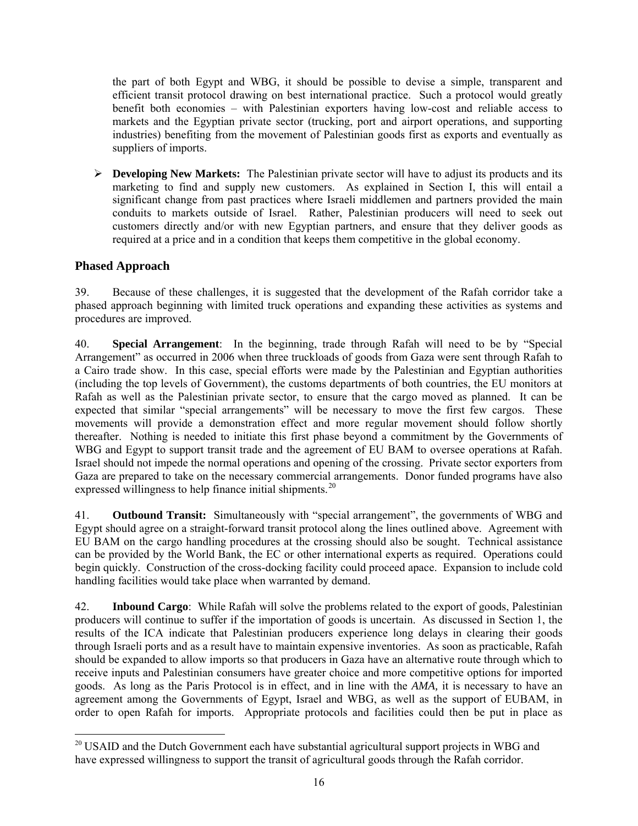the part of both Egypt and WBG, it should be possible to devise a simple, transparent and efficient transit protocol drawing on best international practice. Such a protocol would greatly benefit both economies – with Palestinian exporters having low-cost and reliable access to markets and the Egyptian private sector (trucking, port and airport operations, and supporting industries) benefiting from the movement of Palestinian goods first as exports and eventually as suppliers of imports.

¾ **Developing New Markets:** The Palestinian private sector will have to adjust its products and its marketing to find and supply new customers. As explained in Section I, this will entail a significant change from past practices where Israeli middlemen and partners provided the main conduits to markets outside of Israel. Rather, Palestinian producers will need to seek out customers directly and/or with new Egyptian partners, and ensure that they deliver goods as required at a price and in a condition that keeps them competitive in the global economy.

# **Phased Approach**

 $\overline{\phantom{a}}$ 

39. Because of these challenges, it is suggested that the development of the Rafah corridor take a phased approach beginning with limited truck operations and expanding these activities as systems and procedures are improved.

40. **Special Arrangement**: In the beginning, trade through Rafah will need to be by "Special Arrangement" as occurred in 2006 when three truckloads of goods from Gaza were sent through Rafah to a Cairo trade show. In this case, special efforts were made by the Palestinian and Egyptian authorities (including the top levels of Government), the customs departments of both countries, the EU monitors at Rafah as well as the Palestinian private sector, to ensure that the cargo moved as planned. It can be expected that similar "special arrangements" will be necessary to move the first few cargos. These movements will provide a demonstration effect and more regular movement should follow shortly thereafter. Nothing is needed to initiate this first phase beyond a commitment by the Governments of WBG and Egypt to support transit trade and the agreement of EU BAM to oversee operations at Rafah. Israel should not impede the normal operations and opening of the crossing. Private sector exporters from Gaza are prepared to take on the necessary commercial arrangements. Donor funded programs have also expressed willingness to help finance initial shipments.<sup>[20](#page-15-0)</sup>

41. **Outbound Transit:** Simultaneously with "special arrangement", the governments of WBG and Egypt should agree on a straight-forward transit protocol along the lines outlined above. Agreement with EU BAM on the cargo handling procedures at the crossing should also be sought. Technical assistance can be provided by the World Bank, the EC or other international experts as required. Operations could begin quickly. Construction of the cross-docking facility could proceed apace. Expansion to include cold handling facilities would take place when warranted by demand.

42. **Inbound Cargo**: While Rafah will solve the problems related to the export of goods, Palestinian producers will continue to suffer if the importation of goods is uncertain. As discussed in Section 1, the results of the ICA indicate that Palestinian producers experience long delays in clearing their goods through Israeli ports and as a result have to maintain expensive inventories. As soon as practicable, Rafah should be expanded to allow imports so that producers in Gaza have an alternative route through which to receive inputs and Palestinian consumers have greater choice and more competitive options for imported goods. As long as the Paris Protocol is in effect, and in line with the *AMA,* it is necessary to have an agreement among the Governments of Egypt, Israel and WBG, as well as the support of EUBAM, in order to open Rafah for imports. Appropriate protocols and facilities could then be put in place as

<span id="page-15-0"></span><sup>&</sup>lt;sup>20</sup> USAID and the Dutch Government each have substantial agricultural support projects in WBG and have expressed willingness to support the transit of agricultural goods through the Rafah corridor.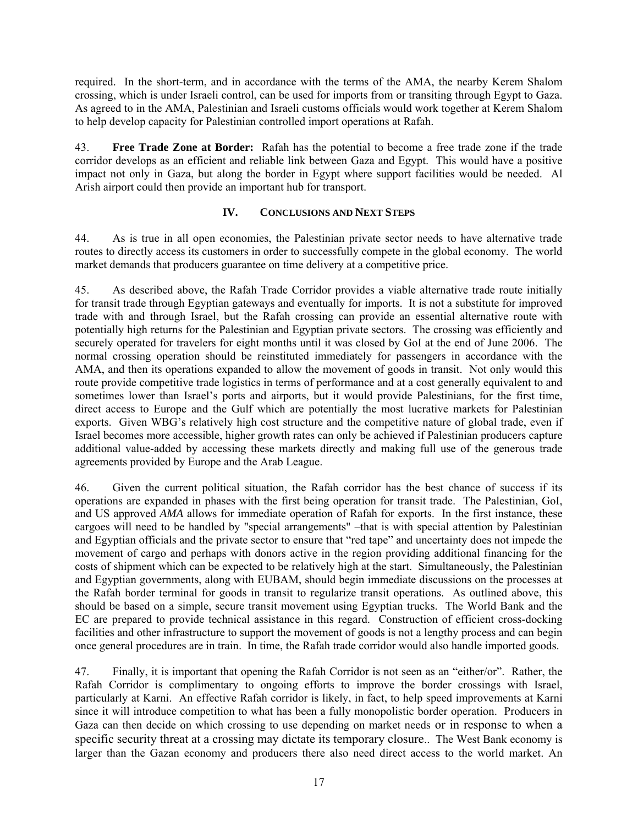required. In the short-term, and in accordance with the terms of the AMA, the nearby Kerem Shalom crossing, which is under Israeli control, can be used for imports from or transiting through Egypt to Gaza. As agreed to in the AMA, Palestinian and Israeli customs officials would work together at Kerem Shalom to help develop capacity for Palestinian controlled import operations at Rafah.

43. **Free Trade Zone at Border:** Rafah has the potential to become a free trade zone if the trade corridor develops as an efficient and reliable link between Gaza and Egypt. This would have a positive impact not only in Gaza, but along the border in Egypt where support facilities would be needed. Al Arish airport could then provide an important hub for transport.

## **IV. CONCLUSIONS AND NEXT STEPS**

44. As is true in all open economies, the Palestinian private sector needs to have alternative trade routes to directly access its customers in order to successfully compete in the global economy. The world market demands that producers guarantee on time delivery at a competitive price.

45. As described above, the Rafah Trade Corridor provides a viable alternative trade route initially for transit trade through Egyptian gateways and eventually for imports. It is not a substitute for improved trade with and through Israel, but the Rafah crossing can provide an essential alternative route with potentially high returns for the Palestinian and Egyptian private sectors. The crossing was efficiently and securely operated for travelers for eight months until it was closed by GoI at the end of June 2006. The normal crossing operation should be reinstituted immediately for passengers in accordance with the AMA, and then its operations expanded to allow the movement of goods in transit. Not only would this route provide competitive trade logistics in terms of performance and at a cost generally equivalent to and sometimes lower than Israel's ports and airports, but it would provide Palestinians, for the first time, direct access to Europe and the Gulf which are potentially the most lucrative markets for Palestinian exports. Given WBG's relatively high cost structure and the competitive nature of global trade, even if Israel becomes more accessible, higher growth rates can only be achieved if Palestinian producers capture additional value-added by accessing these markets directly and making full use of the generous trade agreements provided by Europe and the Arab League.

46. Given the current political situation, the Rafah corridor has the best chance of success if its operations are expanded in phases with the first being operation for transit trade. The Palestinian, GoI, and US approved *AMA* allows for immediate operation of Rafah for exports. In the first instance, these cargoes will need to be handled by "special arrangements" -that is with special attention by Palestinian and Egyptian officials and the private sector to ensure that "red tape" and uncertainty does not impede the movement of cargo and perhaps with donors active in the region providing additional financing for the costs of shipment which can be expected to be relatively high at the start. Simultaneously, the Palestinian and Egyptian governments, along with EUBAM, should begin immediate discussions on the processes at the Rafah border terminal for goods in transit to regularize transit operations. As outlined above, this should be based on a simple, secure transit movement using Egyptian trucks. The World Bank and the EC are prepared to provide technical assistance in this regard. Construction of efficient cross-docking facilities and other infrastructure to support the movement of goods is not a lengthy process and can begin once general procedures are in train. In time, the Rafah trade corridor would also handle imported goods.

47. Finally, it is important that opening the Rafah Corridor is not seen as an "either/or". Rather, the Rafah Corridor is complimentary to ongoing efforts to improve the border crossings with Israel, particularly at Karni. An effective Rafah corridor is likely, in fact, to help speed improvements at Karni since it will introduce competition to what has been a fully monopolistic border operation. Producers in Gaza can then decide on which crossing to use depending on market needs or in response to when a specific security threat at a crossing may dictate its temporary closure.. The West Bank economy is larger than the Gazan economy and producers there also need direct access to the world market. An